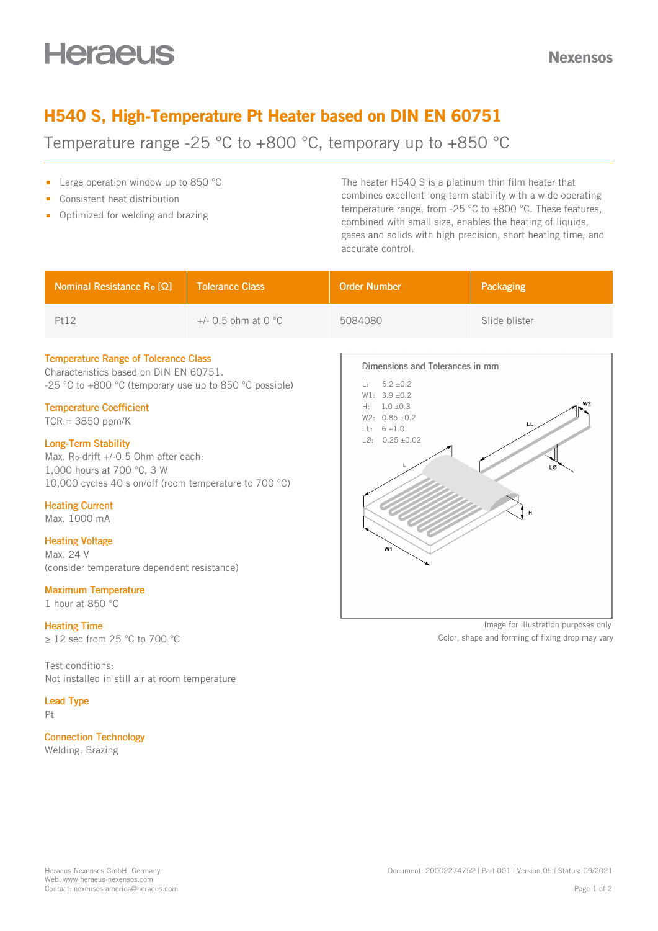# **Heraeus**

## H540 S, High-Temperature Pt Heater based on DIN EN 60751

Temperature range -25 °C to +800 °C, temporary up to +850 °C

- **Large operation window up to 850 °C**
- Consistent heat distribution  $\blacksquare$
- **•** Optimized for welding and brazing

The heater H540 S is a platinum thin film heater that combines excellent long term stability with a wide operating temperature range, from -25 °C to +800 °C. These features, combined with small size, enables the heating of liquids, gases and solids with high precision, short heating time, and accurate control.

| Nominal Resistance Ro [Ω] | <b>Tolerance Class</b>          | <b>Order Number</b> | Packaging     |
|---------------------------|---------------------------------|---------------------|---------------|
| Pt12                      | $+/-$ 0.5 ohm at 0 $^{\circ}$ C | 5084080             | Slide blister |

#### Temperature Range of Tolerance Class

Characteristics based on DIN EN 60751. -25 °C to +800 °C (temporary use up to 850 °C possible)

#### Temperature Coefficient

 $TCR = 3850$  ppm/K

#### Long-Term Stability

Max. Ro-drift +/-0.5 Ohm after each: 1,000 hours at 700 °C, 3 W 10,000 cycles 40 s on/off (room temperature to 700 °C)

#### Heating Current

Max. 1000 mA

#### Heating Voltage

Max. 24 V (consider temperature dependent resistance)

#### Maximum Temperature

1 hour at 850 °C

#### Heating Time

≥ 12 sec from 25 °C to 700 °C

Test conditions: Not installed in still air at room temperature

#### Lead Type

Pt

### Connection Technology

Welding, Brazing



Image for illustration purposes only Color, shape and forming of fixing drop may vary